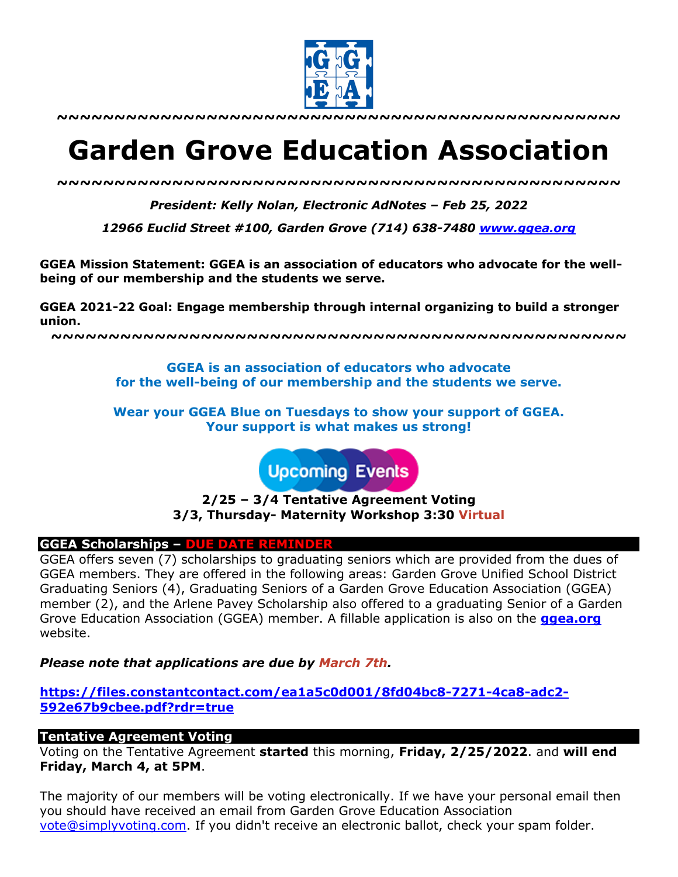

**~~~~~~~~~~~~~~~~~~~~~~~~~~~~~~~~~~~~~~~~~~~~~~~~~**

# **Garden Grove Education Association**

*~~~~~~~~~~~~~~~~~~~~~~~~~~~~~~~~~~~~~~~~~~~~~~~~~*

*President: Kelly Nolan, Electronic AdNotes – Feb 25, 2022*

*12966 Euclid Street #100, Garden Grove (714) 638-7480 www.ggea.org*

**GGEA Mission Statement: GGEA is an association of educators who advocate for the wellbeing of our membership and the students we serve.** 

**GGEA 2021-22 Goal: Engage membership through internal organizing to build a stronger union.**

**~~~~~~~~~~~~~~~~~~~~~~~~~~~~~~~~~~~~~~~~~~~~~~~~~~**

**GGEA is an association of educators who advocate for the well-being of our membership and the students we serve.**

**Wear your GGEA Blue on Tuesdays to show your support of GGEA. Your support is what makes us strong!**

**Upcoming Events** 

**2/25 – 3/4 Tentative Agreement Voting 3/3, Thursday- Maternity Workshop 3:30 Virtual**

## **GGEA Scholarships – DUE DATE REMINDER**

GGEA offers seven (7) scholarships to graduating seniors which are provided from the dues of GGEA members. They are offered in the following areas: Garden Grove Unified School District Graduating Seniors (4), Graduating Seniors of a Garden Grove Education Association (GGEA) member (2), and the Arlene Pavey Scholarship also offered to a graduating Senior of a Garden Grove Education Association (GGEA) member. A fillable application is also on the **ggea.org** website.

*Please note that applications are due by March 7th.*

**https://files.constantcontact.com/ea1a5c0d001/8fd04bc8-7271-4ca8-adc2- 592e67b9cbee.pdf?rdr=true**

## **Tentative Agreement Voting**

Voting on the Tentative Agreement **started** this morning, **Friday, 2/25/2022**. and **will end Friday, March 4, at 5PM**.

The majority of our members will be voting electronically. If we have your personal email then you should have received an email from Garden Grove Education Association vote@simplyvoting.com. If you didn't receive an electronic ballot, check your spam folder.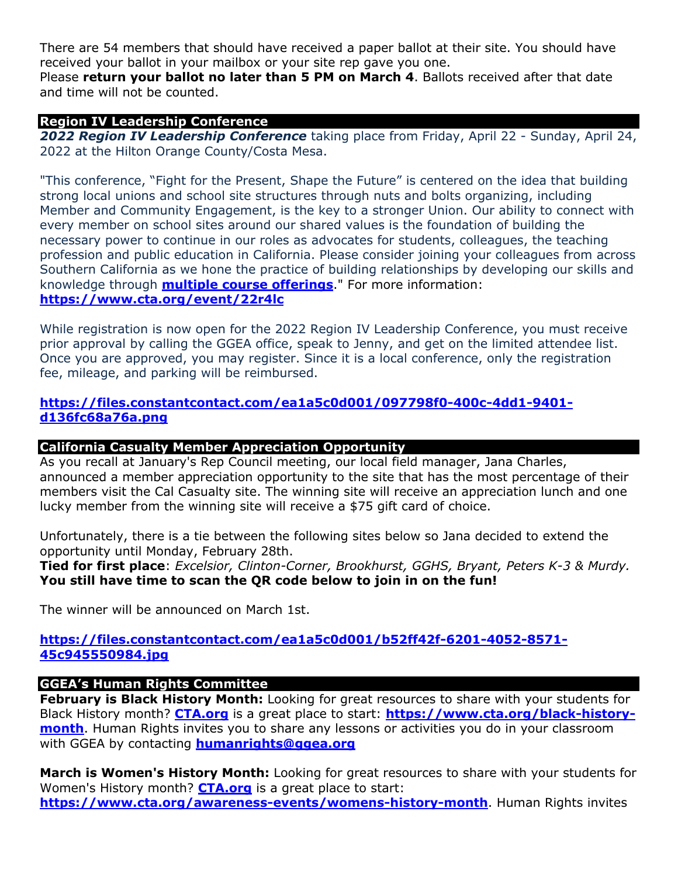There are 54 members that should have received a paper ballot at their site. You should have received your ballot in your mailbox or your site rep gave you one.

Please **return your ballot no later than 5 PM on March 4**. Ballots received after that date and time will not be counted.

# **Region IV Leadership Conference**

*2022 Region IV Leadership Conference* taking place from Friday, April 22 - Sunday, April 24, 2022 at the Hilton Orange County/Costa Mesa.

"This conference, "Fight for the Present, Shape the Future" is centered on the idea that building strong local unions and school site structures through nuts and bolts organizing, including Member and Community Engagement, is the key to a stronger Union. Our ability to connect with every member on school sites around our shared values is the foundation of building the necessary power to continue in our roles as advocates for students, colleagues, the teaching profession and public education in California. Please consider joining your colleagues from across Southern California as we hone the practice of building relationships by developing our skills and knowledge through **multiple course offerings**." For more information: **https://www.cta.org/event/22r4lc**

While registration is now open for the 2022 Region IV Leadership Conference, you must receive prior approval by calling the GGEA office, speak to Jenny, and get on the limited attendee list. Once you are approved, you may register. Since it is a local conference, only the registration fee, mileage, and parking will be reimbursed.

## **https://files.constantcontact.com/ea1a5c0d001/097798f0-400c-4dd1-9401 d136fc68a76a.png**

## **California Casualty Member Appreciation Opportunity**

As you recall at January's Rep Council meeting, our local field manager, Jana Charles, announced a member appreciation opportunity to the site that has the most percentage of their members visit the Cal Casualty site. The winning site will receive an appreciation lunch and one lucky member from the winning site will receive a \$75 gift card of choice.

Unfortunately, there is a tie between the following sites below so Jana decided to extend the opportunity until Monday, February 28th.

**Tied for first place**: *Excelsior, Clinton-Corner, Brookhurst, GGHS, Bryant, Peters K-3 & Murdy.* **You still have time to scan the QR code below to join in on the fun!**

The winner will be announced on March 1st.

**https://files.constantcontact.com/ea1a5c0d001/b52ff42f-6201-4052-8571- 45c945550984.jpg**

# **GGEA's Human Rights Committee**

**February is Black History Month:** Looking for great resources to share with your students for Black History month? **CTA.org** is a great place to start: **https://www.cta.org/black-historymonth**. Human Rights invites you to share any lessons or activities you do in your classroom with GGEA by contacting **humanrights@ggea.org**

**March is Women's History Month:** Looking for great resources to share with your students for Women's History month? **CTA.org** is a great place to start: **https://www.cta.org/awareness-events/womens-history-month**. Human Rights invites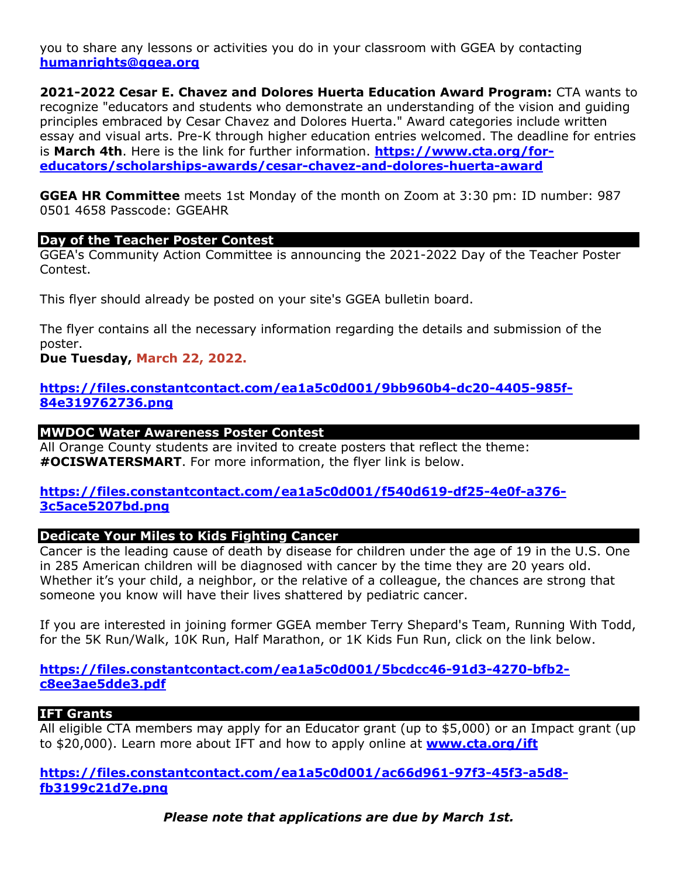you to share any lessons or activities you do in your classroom with GGEA by contacting **humanrights@ggea.org**

**2021-2022 Cesar E. Chavez and Dolores Huerta Education Award Program:** CTA wants to recognize "educators and students who demonstrate an understanding of the vision and guiding principles embraced by Cesar Chavez and Dolores Huerta." Award categories include written essay and visual arts. Pre-K through higher education entries welcomed. The deadline for entries is **March 4th**. Here is the link for further information. **https://www.cta.org/foreducators/scholarships-awards/cesar-chavez-and-dolores-huerta-award**

**GGEA HR Committee** meets 1st Monday of the month on Zoom at 3:30 pm: ID number: 987 0501 4658 Passcode: GGEAHR

## **Day of the Teacher Poster Contest**

GGEA's Community Action Committee is announcing the 2021-2022 Day of the Teacher Poster Contest.

This flyer should already be posted on your site's GGEA bulletin board.

The flyer contains all the necessary information regarding the details and submission of the poster.

# **Due Tuesday, March 22, 2022.**

**https://files.constantcontact.com/ea1a5c0d001/9bb960b4-dc20-4405-985f-84e319762736.png**

## **MWDOC Water Awareness Poster Contest**

All Orange County students are invited to create posters that reflect the theme: **#OCISWATERSMART**. For more information, the flyer link is below.

## **https://files.constantcontact.com/ea1a5c0d001/f540d619-df25-4e0f-a376- 3c5ace5207bd.png**

## **Dedicate Your Miles to Kids Fighting Cancer**

Cancer is the leading cause of death by disease for children under the age of 19 in the U.S. One in 285 American children will be diagnosed with cancer by the time they are 20 years old. Whether it's your child, a neighbor, or the relative of a colleague, the chances are strong that someone you know will have their lives shattered by pediatric cancer.

If you are interested in joining former GGEA member Terry Shepard's Team, Running With Todd, for the 5K Run/Walk, 10K Run, Half Marathon, or 1K Kids Fun Run, click on the link below.

**https://files.constantcontact.com/ea1a5c0d001/5bcdcc46-91d3-4270-bfb2 c8ee3ae5dde3.pdf**

## **IFT Grants**

All eligible CTA members may apply for an Educator grant (up to \$5,000) or an Impact grant (up to \$20,000). Learn more about IFT and how to apply online at **www.cta.org/ift**

## **https://files.constantcontact.com/ea1a5c0d001/ac66d961-97f3-45f3-a5d8 fb3199c21d7e.png**

*Please note that applications are due by March 1st.*